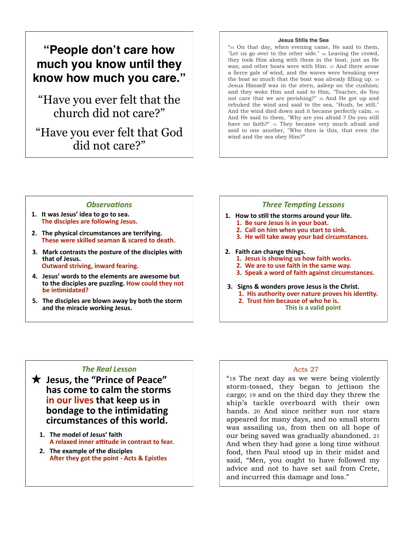# **"People don't care how much you know until they know how much you care."**

"Have you ever felt that the church did not care?"

"Have you ever felt that God did not care?"

#### **Jesus Stills the Sea**

"35 On that day, when evening came, He said to them, "Let us go over to the other side." 36 Leaving the crowd, they took Him along with them in the boat, just as He was; and other boats were with Him. 37 And there arose a fierce gale of wind, and the waves were breaking over the boat so much that the boat was already filling up. 38 Jesus Himself was in the stern, asleep on the cushion; and they woke Him and said to Him, "Teacher, do You not care that we are perishing?" 39 And He got up and rebuked the wind and said to the sea, "Hush, be still." And the wind died down and it became perfectly calm. 40 And He said to them, "Why are you afraid ? Do you still have no faith?" 41 They became very much afraid and said to one another, "Who then is this, that even the wind and the sea obey Him?"

### $Observations'$

- 1. It was Jesus' idea to go to sea. **The disciples are following Jesus.**
- **2. The physical circumstances are terrifying. These were skilled seaman & scared to death.**
- 3. Mark contrasts the posture of the disciples with **1%,1#93#<&)/)"# ######@/15,.7#)1.\*A\*24B#\*25,.7#3&,.\*24"**
- 4. Jesus' words to the elements are awesome but to the disciples are puzzling. How could they not **be intimidated?**
- **5. The disciples are blown away by both the storm** and the miracle working Jesus.

### **Three Tempting Lessons**

- 1. How to still the storms around your life. **1. Be sure Jesus is in your boat.** 
	- **2. Call on him when you start to sink.**
	- **3. He will take away your bad circumstances.**
- 2. Faith can change things.
	- **1. Jesus is showing us how faith works.**
	- **2. We are to use faith in the same way.**
	- **3. Speak a word of faith against circumstances.**
- **3. Signs & wonders prove Jesus is the Christ. 1. His authority over nature proves his identity. 2. Trust him because of who he is.**<br>This is a valid point

### **The Real Lesson**

- $\bigstar$  Jesus, the "Prince of Peace" **has come to calm the storms in our lives that keep us in bondage to the intimidating**  $circumstance of this world.$ 
	- 1. The model of Jesus' faith **A relaxed inner attitude in contrast to fear.**
	- **2. The example of the disciples** After they got the point - Acts & Epistles

### Acts 27

"18 The next day as we were being violently storm-tossed, they began to jettison the cargo; 19 and on the third day they threw the ship's tackle overboard with their own hands. 20 And since neither sun nor stars appeared for many days, and no small storm was assailing us, from then on all hope of our being saved was gradually abandoned. 21 And when they had gone a long time without food, then Paul stood up in their midst and said, "Men, you ought to have followed my advice and not to have set sail from Crete, and incurred this damage and loss."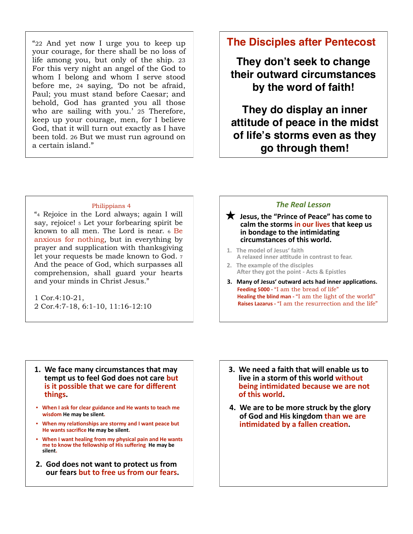"22 And yet now I urge you to keep up your courage, for there shall be no loss of life among you, but only of the ship. 23 For this very night an angel of the God to whom I belong and whom I serve stood before me, 24 saying, 'Do not be afraid, Paul; you must stand before Caesar; and behold, God has granted you all those who are sailing with you.' 25 Therefore, keep up your courage, men, for I believe God, that it will turn out exactly as I have been told. 26 But we must run aground on a certain island."

## **The Disciples after Pentecost**

They don't seek to change their outward circumstances by the word of faith!

They do display an inner attitude of peace in the midst of life's storms even as they go through them!

### Philippians 4

"4 Rejoice in the Lord always; again I will say, rejoice! 5 Let your forbearing spirit be known to all men. The Lord is near. 6 Be anxious for nothing, but in everything by prayer and supplication with thanksgiving let your requests be made known to God. 7 And the peace of God, which surpasses all comprehension, shall guard your hearts and your minds in Christ Jesus."

1 Cor.4:10-21, 2 Cor.4:7-18, 6:1-10, 11:16-12:10

### **The Real Lesson**

### $\bigstar$  Jesus, the "Prince of Peace" has come to calm the storms in our lives that keep us in bondage to the intimidating circumstances of this world.

- 1. The model of Jesus' faith A relaxed inner attitude in contrast to fear.
- 2. The example of the disciples After they got the point - Acts & Epistles
- 3. Many of Jesus' outward acts had inner applications. Feeding 5000 - "I am the bread of life" Healing the blind man - "I am the light of the world" Raises Lazarus - "I am the resurrection and the life"

- 1. We face many circumstances that may tempt us to feel God does not care but is it possible that we care for different things.
- When I ask for clear guidance and He wants to teach me wisdom He may be silent.
- When my relationships are stormy and I want peace but He wants sacrifice He may be silent.
- When I want healing from my physical pain and He wants me to know the fellowship of His suffering He may be silent.
- 2. God does not want to protect us from our fears but to free us from our fears.
- 3. We need a faith that will enable us to live in a storm of this world without being intimidated because we are not of this world.
- 4. We are to be more struck by the glory of God and His kingdom than we are intimidated by a fallen creation.